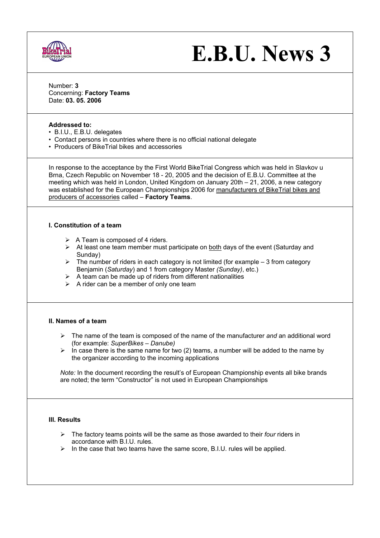

# **E.B.U. News 3**

Number: **3**  Concerning: **Factory Teams** Date: **03. 05. 2006**

## **Addressed to:**

- B.I.U., E.B.U. delegates
- Contact persons in countries where there is no official national delegate
- Producers of BikeTrial bikes and accessories

In response to the acceptance by the First World BikeTrial Congress which was held in Slavkov u Brna, Czech Republic on November 18 - 20, 2005 and the decision of E.B.U. Committee at the meeting which was held in London, United Kingdom on January 20th – 21, 2006, a new category was established for the European Championships 2006 for manufacturers of BikeTrial bikes and producers of accessories called – **Factory Teams**.

## **I. Constitution of a team**

- $\triangleright$  A Team is composed of 4 riders.
- $\triangleright$  At least one team member must participate on both days of the event (Saturday and Sunday)
- $\triangleright$  The number of riders in each category is not limited (for example 3 from category Benjamin (*Saturday*) and 1 from category Master *(Sunday)*, etc.)
- $\triangleright$  A team can be made up of riders from different nationalities
- $\triangleright$  A rider can be a member of only one team

#### **II. Names of a team**

- ¾ The name of the team is composed of the name of the manufacturer *and* an additional word (for example: *SuperBikes – Danube)*
- $\triangleright$  In case there is the same name for two (2) teams, a number will be added to the name by the organizer according to the incoming applications

*Note:* In the document recording the result's of European Championship events all bike brands are noted; the term "Constructor" is not used in European Championships

# **III. Results**

- ¾ The factory teams points will be the same as those awarded to their *four* riders in accordance with B.I.U. rules.
- $\triangleright$  In the case that two teams have the same score, B.I.U. rules will be applied.